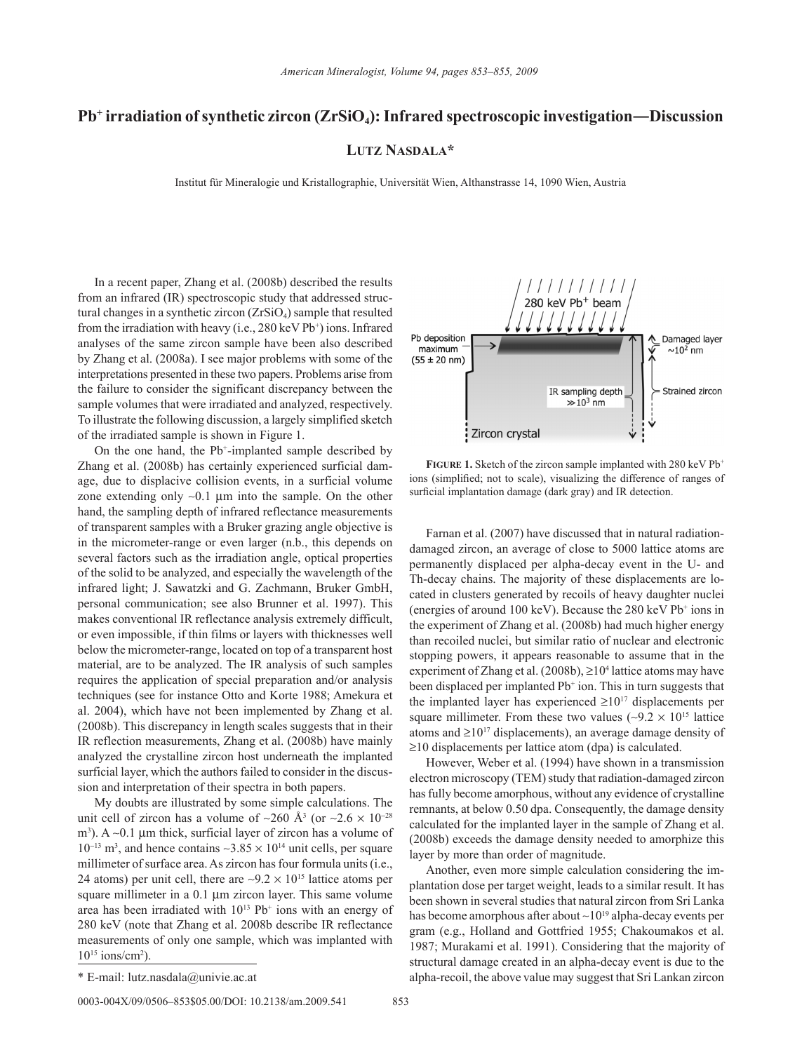## **Pb+ irradiation of synthetic zircon (ZrSiO4): Infrared spectroscopic investigation―Discussion**

## **Lutz Nasdala\***

Institut für Mineralogie und Kristallographie, Universität Wien, Althanstrasse 14, 1090 Wien, Austria

In a recent paper, Zhang et al. (2008b) described the results from an infrared (IR) spectroscopic study that addressed structural changes in a synthetic zircon  $(ZrSiO<sub>4</sub>)$  sample that resulted from the irradiation with heavy (i.e.,  $280 \,\text{keV}$  Pb<sup>+</sup>) ions. Infrared analyses of the same zircon sample have been also described by Zhang et al. (2008a). I see major problems with some of the interpretations presented in these two papers. Problems arise from the failure to consider the significant discrepancy between the sample volumes that were irradiated and analyzed, respectively. To illustrate the following discussion, a largely simplified sketch of the irradiated sample is shown in Figure 1.

On the one hand, the Pb+ -implanted sample described by Zhang et al. (2008b) has certainly experienced surficial damage, due to displacive collision events, in a surficial volume zone extending only ∼0.1 µm into the sample. On the other hand, the sampling depth of infrared reflectance measurements of transparent samples with a Bruker grazing angle objective is in the micrometer-range or even larger (n.b., this depends on several factors such as the irradiation angle, optical properties of the solid to be analyzed, and especially the wavelength of the infrared light; J. Sawatzki and G. Zachmann, Bruker GmbH, personal communication; see also Brunner et al. 1997). This makes conventional IR reflectance analysis extremely difficult, or even impossible, if thin films or layers with thicknesses well below the micrometer-range, located on top of a transparent host material, are to be analyzed. The IR analysis of such samples requires the application of special preparation and/or analysis techniques (see for instance Otto and Korte 1988; Amekura et al. 2004), which have not been implemented by Zhang et al. (2008b). This discrepancy in length scales suggests that in their IR reflection measurements, Zhang et al. (2008b) have mainly analyzed the crystalline zircon host underneath the implanted surficial layer, which the authors failed to consider in the discussion and interpretation of their spectra in both papers.

My doubts are illustrated by some simple calculations. The unit cell of zircon has a volume of ~260 Å<sup>3</sup> (or ~2.6 × 10<sup>-28</sup> m<sup>3</sup>). A ~0.1 μm thick, surficial layer of zircon has a volume of  $10^{-13}$  m<sup>3</sup>, and hence contains ~3.85 ×  $10^{14}$  unit cells, per square millimeter of surface area. As zircon has four formula units (i.e., 24 atoms) per unit cell, there are ~9.2  $\times$  10<sup>15</sup> lattice atoms per square millimeter in a 0.1 µm zircon layer. This same volume area has been irradiated with  $10^{13}$  Pb<sup>+</sup> ions with an energy of 280 keV (note that Zhang et al. 2008b describe IR reflectance measurements of only one sample, which was implanted with  $10^{15}$  ions/cm<sup>2</sup>).



FIGURE 1. Sketch of the zircon sample implanted with 280 keV Pb<sup>+</sup> ions (simplified; not to scale), visualizing the difference of ranges of surficial implantation damage (dark gray) and IR detection.

Farnan et al. (2007) have discussed that in natural radiationdamaged zircon, an average of close to 5000 lattice atoms are permanently displaced per alpha-decay event in the U- and Th-decay chains. The majority of these displacements are located in clusters generated by recoils of heavy daughter nuclei (energies of around 100 keV). Because the 280 keV Pb+ ions in the experiment of Zhang et al. (2008b) had much higher energy than recoiled nuclei, but similar ratio of nuclear and electronic stopping powers, it appears reasonable to assume that in the experiment of Zhang et al.  $(2008b)$ ,  $\geq 10^4$  lattice atoms may have been displaced per implanted Pb<sup>+</sup> ion. This in turn suggests that the implanted layer has experienced  $\geq 10^{17}$  displacements per square millimeter. From these two values (~9.2  $\times$  10<sup>15</sup> lattice atoms and  $\geq 10^{17}$  displacements), an average damage density of ≥10 displacements per lattice atom (dpa) is calculated.

However, Weber et al. (1994) have shown in a transmission electron microscopy (TEM) study that radiation-damaged zircon has fully become amorphous, without any evidence of crystalline remnants, at below 0.50 dpa. Consequently, the damage density calculated for the implanted layer in the sample of Zhang et al. (2008b) exceeds the damage density needed to amorphize this layer by more than order of magnitude.

Another, even more simple calculation considering the implantation dose per target weight, leads to a similar result. It has been shown in several studies that natural zircon from Sri Lanka has become amorphous after about ∼1019 alpha-decay events per gram (e.g., Holland and Gottfried 1955; Chakoumakos et al. 1987; Murakami et al. 1991). Considering that the majority of structural damage created in an alpha-decay event is due to the \* E-mail: lutz.nasdala@univie.ac.at alpha-recoil, the above value may suggest that Sri Lankan zircon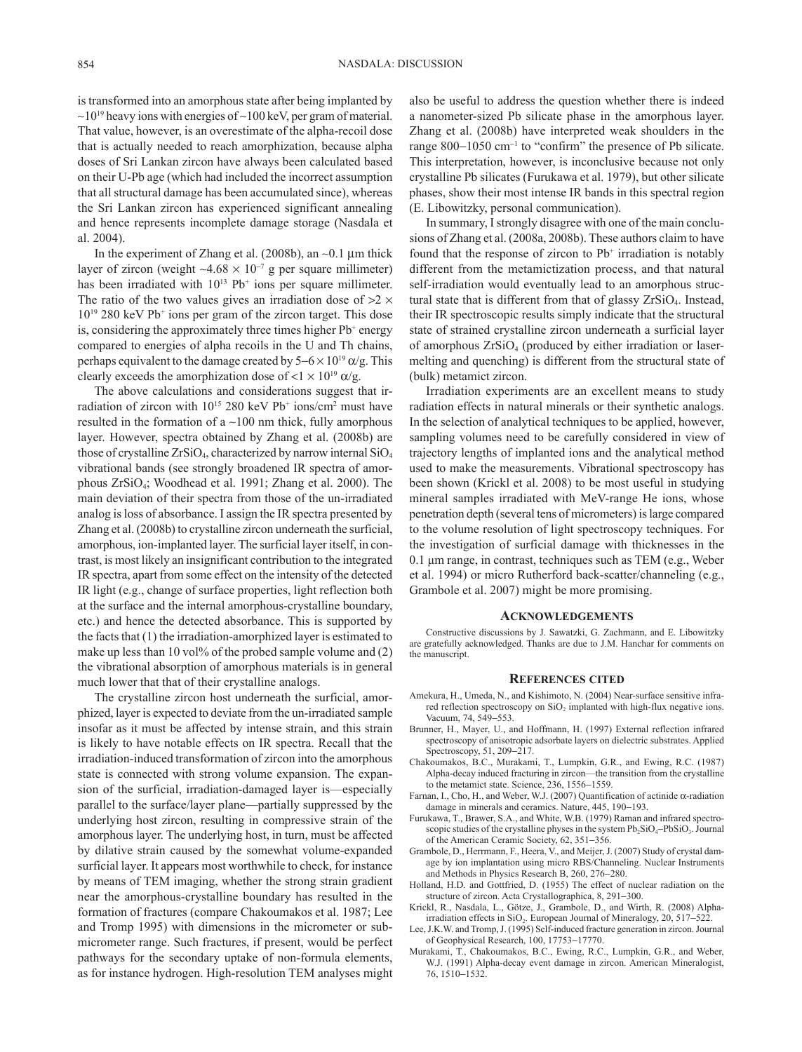is transformed into an amorphous state after being implanted by ∼1019 heavy ions with energies of ∼100 keV, per gram of material. That value, however, is an overestimate of the alpha-recoil dose that is actually needed to reach amorphization, because alpha doses of Sri Lankan zircon have always been calculated based on their U-Pb age (which had included the incorrect assumption that all structural damage has been accumulated since), whereas the Sri Lankan zircon has experienced significant annealing and hence represents incomplete damage storage (Nasdala et al. 2004).

In the experiment of Zhang et al. (2008b), an ∼0.1 µm thick layer of zircon (weight ~4.68  $\times$  10<sup>-7</sup> g per square millimeter) has been irradiated with  $10^{13}$  Pb<sup>+</sup> ions per square millimeter. The ratio of the two values gives an irradiation dose of  $>2 \times$ 1019 280 keV Pb+ ions per gram of the zircon target. This dose is, considering the approximately three times higher Pb<sup>+</sup> energy compared to energies of alpha recoils in the U and Th chains, perhaps equivalent to the damage created by  $5-6 \times 10^{19}$   $\alpha$ /g. This clearly exceeds the amorphization dose of  $< 1 \times 10^{19}$   $\alpha/g$ .

The above calculations and considerations suggest that irradiation of zircon with  $10^{15}$  280 keV Pb<sup>+</sup> ions/cm<sup>2</sup> must have resulted in the formation of a ∼100 nm thick, fully amorphous layer. However, spectra obtained by Zhang et al. (2008b) are those of crystalline  $ZrSiO<sub>4</sub>$ , characterized by narrow internal  $SiO<sub>4</sub>$ vibrational bands (see strongly broadened IR spectra of amorphous ZrSiO4; Woodhead et al. 1991; Zhang et al. 2000). The main deviation of their spectra from those of the un-irradiated analog is loss of absorbance. I assign the IR spectra presented by Zhang et al. (2008b) to crystalline zircon underneath the surficial, amorphous, ion-implanted layer. The surficial layer itself, in contrast, is most likely an insignificant contribution to the integrated IR spectra, apart from some effect on the intensity of the detected IR light (e.g., change of surface properties, light reflection both at the surface and the internal amorphous-crystalline boundary, etc.) and hence the detected absorbance. This is supported by the facts that (1) the irradiation-amorphized layer is estimated to make up less than 10 vol% of the probed sample volume and (2) the vibrational absorption of amorphous materials is in general much lower that that of their crystalline analogs.

The crystalline zircon host underneath the surficial, amorphized, layer is expected to deviate from the un-irradiated sample insofar as it must be affected by intense strain, and this strain is likely to have notable effects on IR spectra. Recall that the irradiation-induced transformation of zircon into the amorphous state is connected with strong volume expansion. The expansion of the surficial, irradiation-damaged layer is—especially parallel to the surface/layer plane—partially suppressed by the underlying host zircon, resulting in compressive strain of the amorphous layer. The underlying host, in turn, must be affected by dilative strain caused by the somewhat volume-expanded surficial layer. It appears most worthwhile to check, for instance by means of TEM imaging, whether the strong strain gradient near the amorphous-crystalline boundary has resulted in the formation of fractures (compare Chakoumakos et al. 1987; Lee and Tromp 1995) with dimensions in the micrometer or submicrometer range. Such fractures, if present, would be perfect pathways for the secondary uptake of non-formula elements, as for instance hydrogen. High-resolution TEM analyses might

also be useful to address the question whether there is indeed a nanometer-sized Pb silicate phase in the amorphous layer. Zhang et al. (2008b) have interpreted weak shoulders in the range 800−1050 cm<sup>−</sup><sup>1</sup> to "confirm" the presence of Pb silicate. This interpretation, however, is inconclusive because not only crystalline Pb silicates (Furukawa et al. 1979), but other silicate phases, show their most intense IR bands in this spectral region (E. Libowitzky, personal communication).

In summary, I strongly disagree with one of the main conclusions of Zhang et al. (2008a, 2008b). These authors claim to have found that the response of zircon to  $Pb<sup>+</sup>$  irradiation is notably different from the metamictization process, and that natural self-irradiation would eventually lead to an amorphous structural state that is different from that of glassy ZrSiO<sub>4</sub>. Instead, their IR spectroscopic results simply indicate that the structural state of strained crystalline zircon underneath a surficial layer of amorphous  $ZrSiO<sub>4</sub>$  (produced by either irradiation or lasermelting and quenching) is different from the structural state of (bulk) metamict zircon.

Irradiation experiments are an excellent means to study radiation effects in natural minerals or their synthetic analogs. In the selection of analytical techniques to be applied, however, sampling volumes need to be carefully considered in view of trajectory lengths of implanted ions and the analytical method used to make the measurements. Vibrational spectroscopy has been shown (Krickl et al. 2008) to be most useful in studying mineral samples irradiated with MeV-range He ions, whose penetration depth (several tens of micrometers) is large compared to the volume resolution of light spectroscopy techniques. For the investigation of surficial damage with thicknesses in the 0.1 μm range, in contrast, techniques such as TEM (e.g., Weber et al. 1994) or micro Rutherford back-scatter/channeling (e.g., Grambole et al. 2007) might be more promising.

## **Acknowledgements**

Constructive discussions by J. Sawatzki, G. Zachmann, and E. Libowitzky are gratefully acknowledged. Thanks are due to J.M. Hanchar for comments on the manuscript.

## **References cited**

- Amekura, H., Umeda, N., and Kishimoto, N. (2004) Near-surface sensitive infrared reflection spectroscopy on SiO<sub>2</sub> implanted with high-flux negative ions. Vacuum, 74, 549−553.
- Brunner, H., Mayer, U., and Hoffmann, H. (1997) External reflection infrared spectroscopy of anisotropic adsorbate layers on dielectric substrates. Applied Spectroscopy, 51, 209−217.
- Chakoumakos, B.C., Murakami, T., Lumpkin, G.R., and Ewing, R.C. (1987) Alpha-decay induced fracturing in zircon—the transition from the crystalline to the metamict state. Science, 236, 1556−1559.
- Farnan, I., Cho, H., and Weber, W.J. (2007) Quantification of actinide α-radiation damage in minerals and ceramics. Nature, 445, 190−193.
- Furukawa, T., Brawer, S.A., and White, W.B. (1979) Raman and infrared spectroscopic studies of the crystalline physes in the system Pb<sub>2</sub>SiO<sub>4</sub>−PbSiO<sub>3</sub>. Journal of the American Ceramic Society, 62, 351−356.
- Grambole, D., Herrmann, F., Heera, V., and Meijer, J. (2007) Study of crystal damage by ion implantation using micro RBS/Channeling. Nuclear Instruments and Methods in Physics Research B, 260, 276−280.
- Holland, H.D. and Gottfried, D. (1955) The effect of nuclear radiation on the structure of zircon. Acta Crystallographica, 8, 291−300.
- Krickl, R., Nasdala, L., Götze, J., Grambole, D., and Wirth, R. (2008) Alphairradiation effects in SiO<sub>2</sub>. European Journal of Mineralogy, 20, 517–522.
- Lee, J.K.W. and Tromp, J. (1995) Self-induced fracture generation in zircon. Journal of Geophysical Research, 100, 17753−17770.
- Murakami, T., Chakoumakos, B.C., Ewing, R.C., Lumpkin, G.R., and Weber, W.J. (1991) Alpha-decay event damage in zircon. American Mineralogist, 76, 1510−1532.